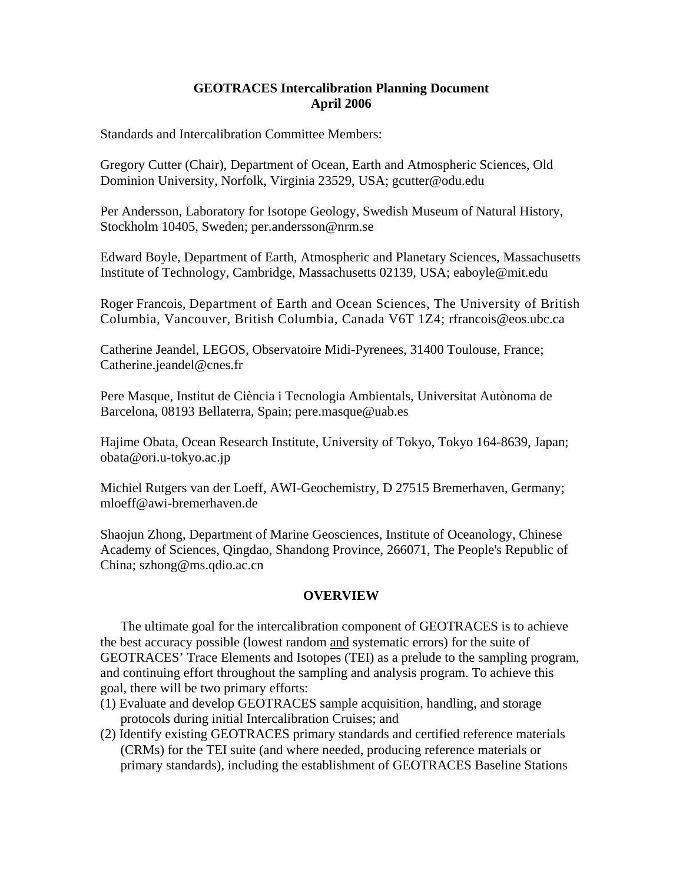## **GEOTRACES Intercalibration Planning Document April 2006**

Standards and Intercalibration Committee Members:

Gregory Cutter (Chair), Department of Ocean, Earth and Atmospheric Sciences, Old Dominion University, Norfolk, Virginia 23529, USA; gcutter@odu.edu

Per Andersson, Laboratory for Isotope Geology, Swedish Museum of Natural History, Stockholm 10405, Sweden; per.andersson@nrm.se

Edward Boyle, Department of Earth, Atmospheric and Planetary Sciences, Massachusetts Institute of Technology, Cambridge, Massachusetts 02139, USA; eaboyle@mit.edu

Roger Francois, Department of Earth and Ocean Sciences, The University of British Columbia, Vancouver, British Columbia, Canada V6T 1Z4; rfrancois@eos.ubc.ca

Catherine Jeandel, LEGOS, Observatoire Midi-Pyrenees, 31400 Toulouse, France; Catherine.jeandel@cnes.fr

Pere Masque, Institut de Ciència i Tecnologia Ambientals, Universitat Autònoma de Barcelona, 08193 Bellaterra, Spain; pere.masque@uab.es

Hajime Obata, Ocean Research Institute, University of Tokyo, Tokyo 164-8639, Japan; obata@ori.u-tokyo.ac.jp

Michiel Rutgers van der Loeff, AWI-Geochemistry, D 27515 Bremerhaven, Germany; mloeff@awi-bremerhaven.de

Shaojun Zhong, Department of Marine Geosciences, Institute of Oceanology, Chinese Academy of Sciences, Qingdao, Shandong Province, 266071, The People's Republic of China; szhong@ms.qdio.ac.cn

# **OVERVIEW**

The ultimate goal for the intercalibration component of GEOTRACES is to achieve the best accuracy possible (lowest random and systematic errors) for the suite of GEOTRACES' Trace Elements and Isotopes (TEI) as a prelude to the sampling program, and continuing effort throughout the sampling and analysis program. To achieve this goal, there will be two primary efforts:

- (1) Evaluate and develop GEOTRACES sample acquisition, handling, and storage protocols during initial Intercalibration Cruises; and
- (2) Identify existing GEOTRACES primary standards and certified reference materials (CRMs) for the TEI suite (and where needed, producing reference materials or primary standards), including the establishment of GEOTRACES Baseline Stations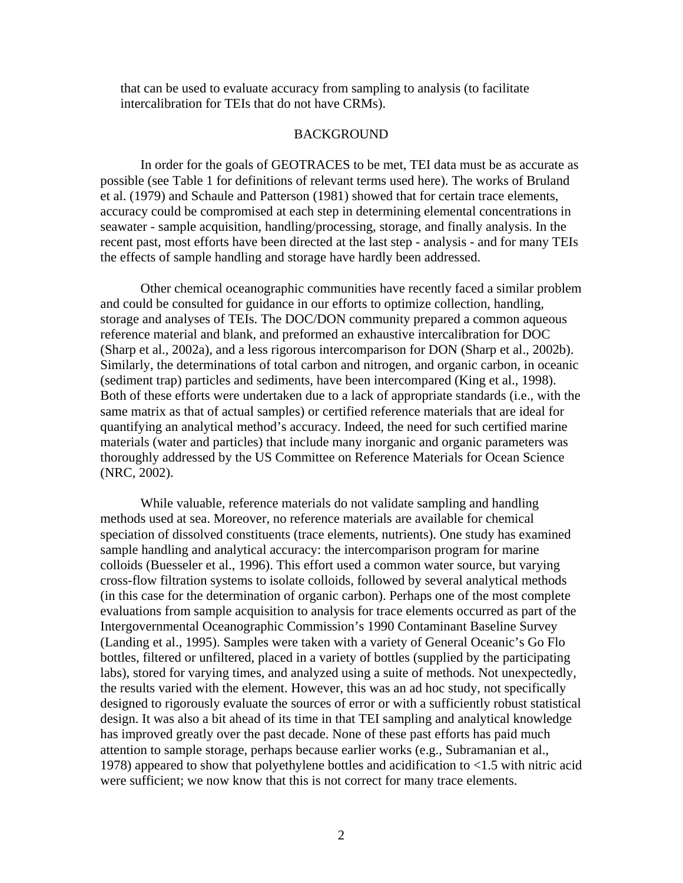that can be used to evaluate accuracy from sampling to analysis (to facilitate intercalibration for TEIs that do not have CRMs).

## BACKGROUND

In order for the goals of GEOTRACES to be met, TEI data must be as accurate as possible (see Table 1 for definitions of relevant terms used here). The works of Bruland et al. (1979) and Schaule and Patterson (1981) showed that for certain trace elements, accuracy could be compromised at each step in determining elemental concentrations in seawater - sample acquisition, handling/processing, storage, and finally analysis. In the recent past, most efforts have been directed at the last step - analysis - and for many TEIs the effects of sample handling and storage have hardly been addressed.

Other chemical oceanographic communities have recently faced a similar problem and could be consulted for guidance in our efforts to optimize collection, handling, storage and analyses of TEIs. The DOC/DON community prepared a common aqueous reference material and blank, and preformed an exhaustive intercalibration for DOC (Sharp et al., 2002a), and a less rigorous intercomparison for DON (Sharp et al., 2002b). Similarly, the determinations of total carbon and nitrogen, and organic carbon, in oceanic (sediment trap) particles and sediments, have been intercompared (King et al., 1998). Both of these efforts were undertaken due to a lack of appropriate standards (i.e., with the same matrix as that of actual samples) or certified reference materials that are ideal for quantifying an analytical method's accuracy. Indeed, the need for such certified marine materials (water and particles) that include many inorganic and organic parameters was thoroughly addressed by the US Committee on Reference Materials for Ocean Science (NRC, 2002).

While valuable, reference materials do not validate sampling and handling methods used at sea. Moreover, no reference materials are available for chemical speciation of dissolved constituents (trace elements, nutrients). One study has examined sample handling and analytical accuracy: the intercomparison program for marine colloids (Buesseler et al., 1996). This effort used a common water source, but varying cross-flow filtration systems to isolate colloids, followed by several analytical methods (in this case for the determination of organic carbon). Perhaps one of the most complete evaluations from sample acquisition to analysis for trace elements occurred as part of the Intergovernmental Oceanographic Commission's 1990 Contaminant Baseline Survey (Landing et al., 1995). Samples were taken with a variety of General Oceanic's Go Flo bottles, filtered or unfiltered, placed in a variety of bottles (supplied by the participating labs), stored for varying times, and analyzed using a suite of methods. Not unexpectedly, the results varied with the element. However, this was an ad hoc study, not specifically designed to rigorously evaluate the sources of error or with a sufficiently robust statistical design. It was also a bit ahead of its time in that TEI sampling and analytical knowledge has improved greatly over the past decade. None of these past efforts has paid much attention to sample storage, perhaps because earlier works (e.g., Subramanian et al., 1978) appeared to show that polyethylene bottles and acidification to <1.5 with nitric acid were sufficient; we now know that this is not correct for many trace elements.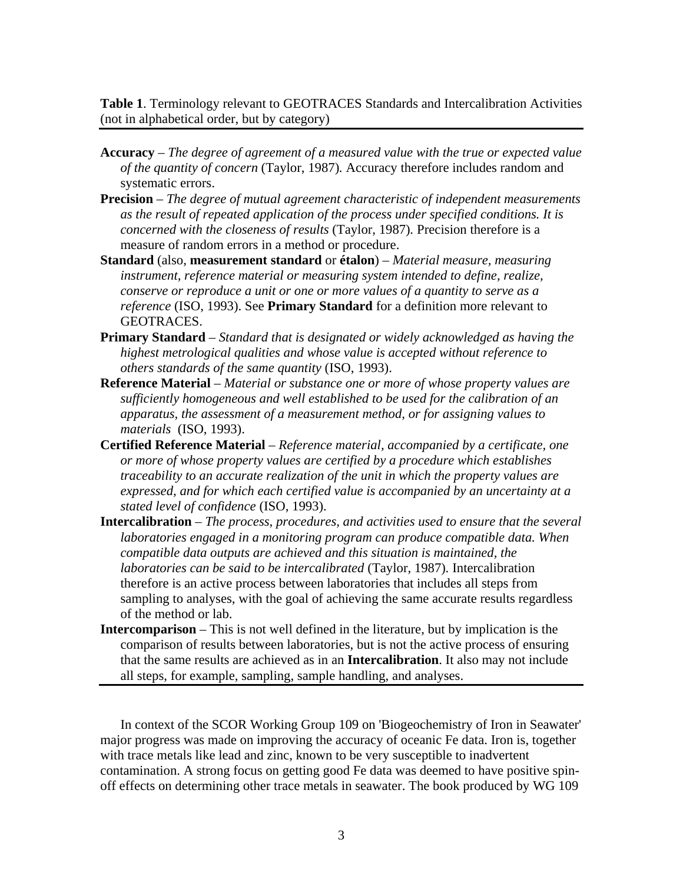**Table 1**. Terminology relevant to GEOTRACES Standards and Intercalibration Activities (not in alphabetical order, but by category)

- **Accuracy** *The degree of agreement of a measured value with the true or expected value of the quantity of concern* (Taylor, 1987)*.* Accuracy therefore includes random and systematic errors.
- **Precision** *The degree of mutual agreement characteristic of independent measurements as the result of repeated application of the process under specified conditions. It is concerned with the closeness of results* (Taylor, 1987)*.* Precision therefore is a measure of random errors in a method or procedure.
- **Standard** (also, **measurement standard** or **étalon**) *Material measure, measuring instrument, reference material or measuring system intended to define, realize, conserve or reproduce a unit or one or more values of a quantity to serve as a reference* (ISO, 1993). See **Primary Standard** for a definition more relevant to GEOTRACES.
- **Primary Standard** *Standard that is designated or widely acknowledged as having the highest metrological qualities and whose value is accepted without reference to others standards of the same quantity* (ISO, 1993).
- **Reference Material** *Material or substance one or more of whose property values are sufficiently homogeneous and well established to be used for the calibration of an apparatus, the assessment of a measurement method, or for assigning values to materials* (ISO, 1993).
- **Certified Reference Material** *Reference material, accompanied by a certificate, one or more of whose property values are certified by a procedure which establishes traceability to an accurate realization of the unit in which the property values are expressed, and for which each certified value is accompanied by an uncertainty at a stated level of confidence* (ISO, 1993).
- **Intercalibration** *The process, procedures, and activities used to ensure that the several laboratories engaged in a monitoring program can produce compatible data. When compatible data outputs are achieved and this situation is maintained, the laboratories can be said to be intercalibrated* (Taylor, 1987)*.* Intercalibration therefore is an active process between laboratories that includes all steps from sampling to analyses, with the goal of achieving the same accurate results regardless of the method or lab.
- **Intercomparison** This is not well defined in the literature, but by implication is the comparison of results between laboratories, but is not the active process of ensuring that the same results are achieved as in an **Intercalibration**. It also may not include all steps, for example, sampling, sample handling, and analyses.

In context of the SCOR Working Group 109 on 'Biogeochemistry of Iron in Seawater' major progress was made on improving the accuracy of oceanic Fe data. Iron is, together with trace metals like lead and zinc, known to be very susceptible to inadvertent contamination. A strong focus on getting good Fe data was deemed to have positive spinoff effects on determining other trace metals in seawater. The book produced by WG 109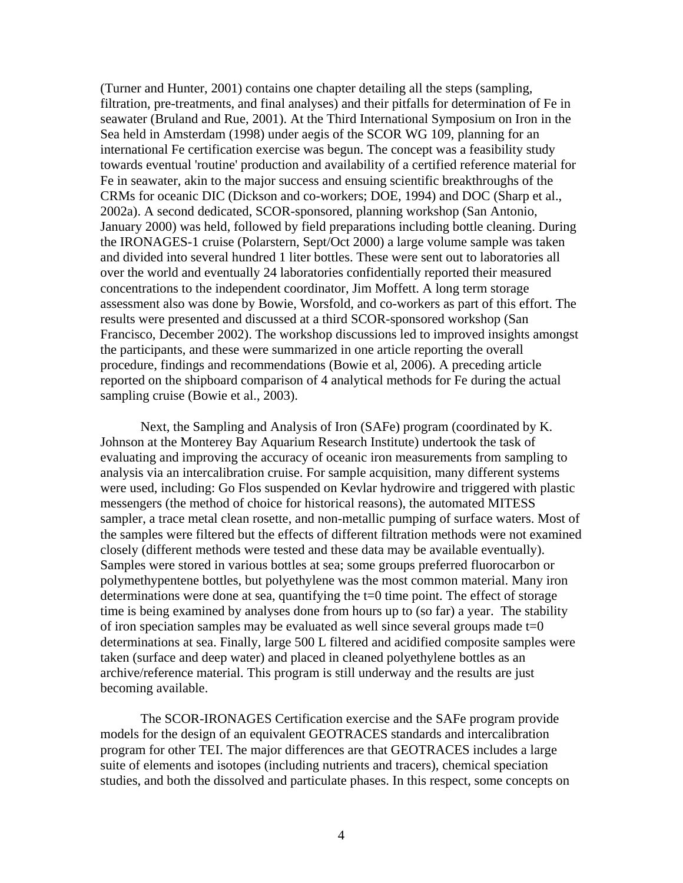(Turner and Hunter, 2001) contains one chapter detailing all the steps (sampling, filtration, pre-treatments, and final analyses) and their pitfalls for determination of Fe in seawater (Bruland and Rue, 2001). At the Third International Symposium on Iron in the Sea held in Amsterdam (1998) under aegis of the SCOR WG 109, planning for an international Fe certification exercise was begun. The concept was a feasibility study towards eventual 'routine' production and availability of a certified reference material for Fe in seawater, akin to the major success and ensuing scientific breakthroughs of the CRMs for oceanic DIC (Dickson and co-workers; DOE, 1994) and DOC (Sharp et al., 2002a). A second dedicated, SCOR-sponsored, planning workshop (San Antonio, January 2000) was held, followed by field preparations including bottle cleaning. During the IRONAGES-1 cruise (Polarstern, Sept/Oct 2000) a large volume sample was taken and divided into several hundred 1 liter bottles. These were sent out to laboratories all over the world and eventually 24 laboratories confidentially reported their measured concentrations to the independent coordinator, Jim Moffett. A long term storage assessment also was done by Bowie, Worsfold, and co-workers as part of this effort. The results were presented and discussed at a third SCOR-sponsored workshop (San Francisco, December 2002). The workshop discussions led to improved insights amongst the participants, and these were summarized in one article reporting the overall procedure, findings and recommendations (Bowie et al, 2006). A preceding article reported on the shipboard comparison of 4 analytical methods for Fe during the actual sampling cruise (Bowie et al., 2003).

Next, the Sampling and Analysis of Iron (SAFe) program (coordinated by K. Johnson at the Monterey Bay Aquarium Research Institute) undertook the task of evaluating and improving the accuracy of oceanic iron measurements from sampling to analysis via an intercalibration cruise. For sample acquisition, many different systems were used, including: Go Flos suspended on Kevlar hydrowire and triggered with plastic messengers (the method of choice for historical reasons), the automated MITESS sampler, a trace metal clean rosette, and non-metallic pumping of surface waters. Most of the samples were filtered but the effects of different filtration methods were not examined closely (different methods were tested and these data may be available eventually). Samples were stored in various bottles at sea; some groups preferred fluorocarbon or polymethypentene bottles, but polyethylene was the most common material. Many iron determinations were done at sea, quantifying the  $t=0$  time point. The effect of storage time is being examined by analyses done from hours up to (so far) a year. The stability of iron speciation samples may be evaluated as well since several groups made  $t=0$ determinations at sea. Finally, large 500 L filtered and acidified composite samples were taken (surface and deep water) and placed in cleaned polyethylene bottles as an archive/reference material. This program is still underway and the results are just becoming available.

The SCOR-IRONAGES Certification exercise and the SAFe program provide models for the design of an equivalent GEOTRACES standards and intercalibration program for other TEI. The major differences are that GEOTRACES includes a large suite of elements and isotopes (including nutrients and tracers), chemical speciation studies, and both the dissolved and particulate phases. In this respect, some concepts on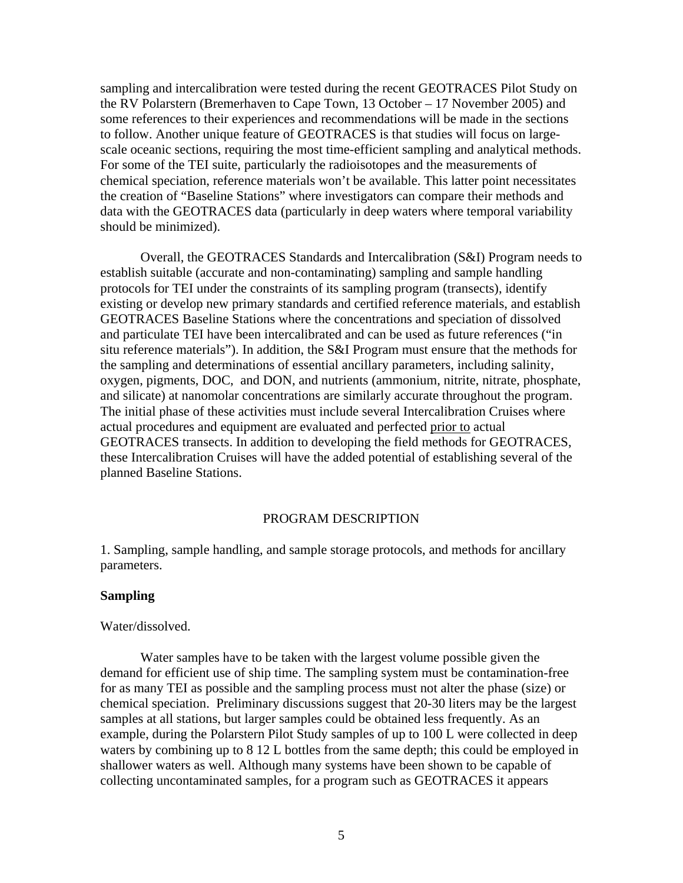sampling and intercalibration were tested during the recent GEOTRACES Pilot Study on the RV Polarstern (Bremerhaven to Cape Town, 13 October – 17 November 2005) and some references to their experiences and recommendations will be made in the sections to follow. Another unique feature of GEOTRACES is that studies will focus on largescale oceanic sections, requiring the most time-efficient sampling and analytical methods. For some of the TEI suite, particularly the radioisotopes and the measurements of chemical speciation, reference materials won't be available. This latter point necessitates the creation of "Baseline Stations" where investigators can compare their methods and data with the GEOTRACES data (particularly in deep waters where temporal variability should be minimized).

 Overall, the GEOTRACES Standards and Intercalibration (S&I) Program needs to establish suitable (accurate and non-contaminating) sampling and sample handling protocols for TEI under the constraints of its sampling program (transects), identify existing or develop new primary standards and certified reference materials, and establish GEOTRACES Baseline Stations where the concentrations and speciation of dissolved and particulate TEI have been intercalibrated and can be used as future references ("in situ reference materials"). In addition, the S&I Program must ensure that the methods for the sampling and determinations of essential ancillary parameters, including salinity, oxygen, pigments, DOC, and DON, and nutrients (ammonium, nitrite, nitrate, phosphate, and silicate) at nanomolar concentrations are similarly accurate throughout the program. The initial phase of these activities must include several Intercalibration Cruises where actual procedures and equipment are evaluated and perfected prior to actual GEOTRACES transects. In addition to developing the field methods for GEOTRACES, these Intercalibration Cruises will have the added potential of establishing several of the planned Baseline Stations.

### PROGRAM DESCRIPTION

1. Sampling, sample handling, and sample storage protocols, and methods for ancillary parameters.

### **Sampling**

#### Water/dissolved.

Water samples have to be taken with the largest volume possible given the demand for efficient use of ship time. The sampling system must be contamination-free for as many TEI as possible and the sampling process must not alter the phase (size) or chemical speciation. Preliminary discussions suggest that 20-30 liters may be the largest samples at all stations, but larger samples could be obtained less frequently. As an example, during the Polarstern Pilot Study samples of up to 100 L were collected in deep waters by combining up to 8 12 L bottles from the same depth; this could be employed in shallower waters as well. Although many systems have been shown to be capable of collecting uncontaminated samples, for a program such as GEOTRACES it appears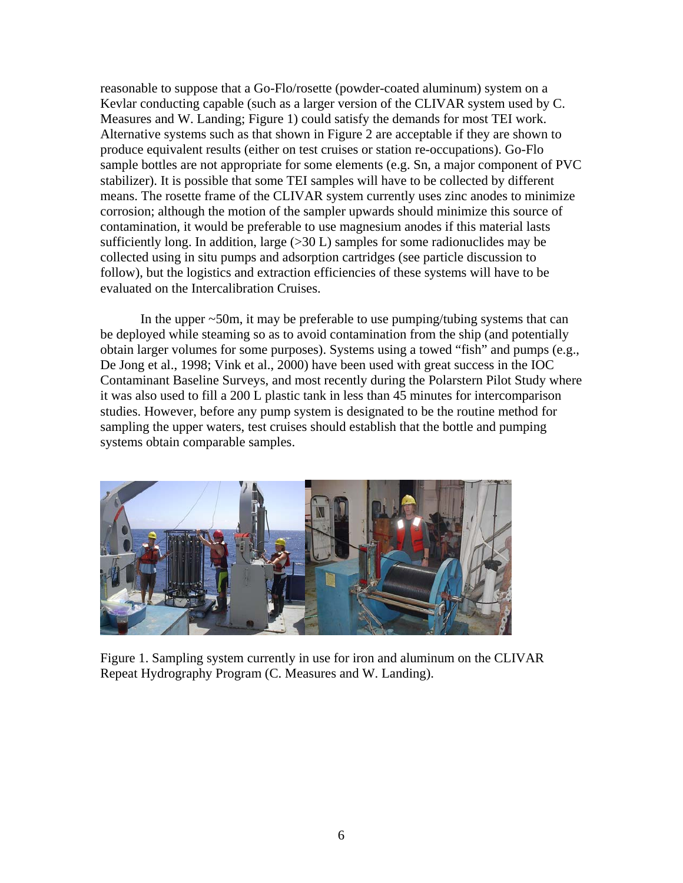reasonable to suppose that a Go-Flo/rosette (powder-coated aluminum) system on a Kevlar conducting capable (such as a larger version of the CLIVAR system used by C. Measures and W. Landing; Figure 1) could satisfy the demands for most TEI work. Alternative systems such as that shown in Figure 2 are acceptable if they are shown to produce equivalent results (either on test cruises or station re-occupations). Go-Flo sample bottles are not appropriate for some elements (e.g. Sn, a major component of PVC stabilizer). It is possible that some TEI samples will have to be collected by different means. The rosette frame of the CLIVAR system currently uses zinc anodes to minimize corrosion; although the motion of the sampler upwards should minimize this source of contamination, it would be preferable to use magnesium anodes if this material lasts sufficiently long. In addition, large  $(>30 \text{ L})$  samples for some radionuclides may be collected using in situ pumps and adsorption cartridges (see particle discussion to follow), but the logistics and extraction efficiencies of these systems will have to be evaluated on the Intercalibration Cruises.

In the upper  $\sim$ 50m, it may be preferable to use pumping/tubing systems that can be deployed while steaming so as to avoid contamination from the ship (and potentially obtain larger volumes for some purposes). Systems using a towed "fish" and pumps (e.g., De Jong et al., 1998; Vink et al., 2000) have been used with great success in the IOC Contaminant Baseline Surveys, and most recently during the Polarstern Pilot Study where it was also used to fill a 200 L plastic tank in less than 45 minutes for intercomparison studies. However, before any pump system is designated to be the routine method for sampling the upper waters, test cruises should establish that the bottle and pumping systems obtain comparable samples.



Figure 1. Sampling system currently in use for iron and aluminum on the CLIVAR Repeat Hydrography Program (C. Measures and W. Landing).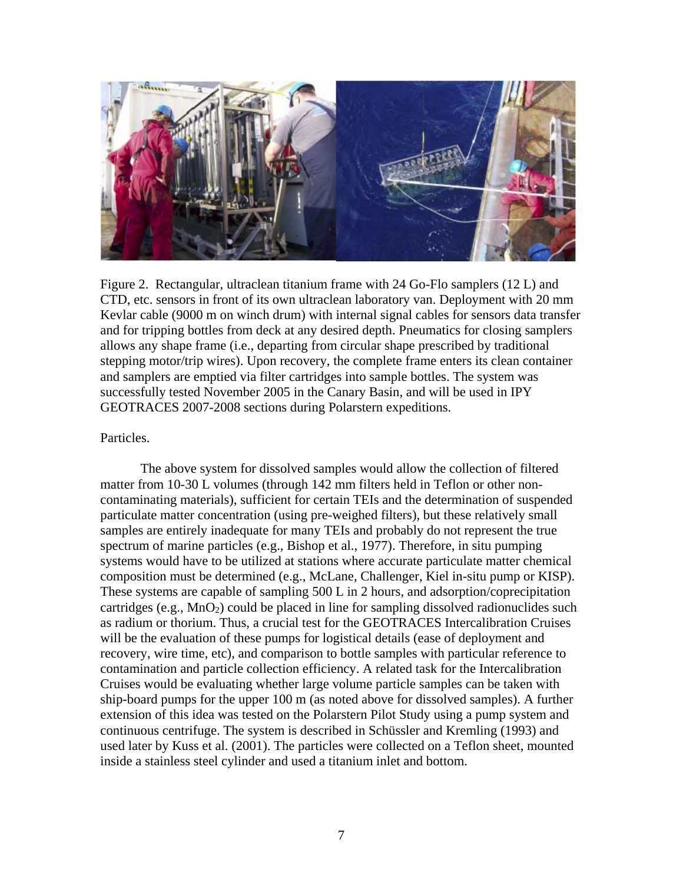

Figure 2. Rectangular, ultraclean titanium frame with 24 Go-Flo samplers (12 L) and CTD, etc. sensors in front of its own ultraclean laboratory van. Deployment with 20 mm Kevlar cable (9000 m on winch drum) with internal signal cables for sensors data transfer and for tripping bottles from deck at any desired depth. Pneumatics for closing samplers allows any shape frame (i.e., departing from circular shape prescribed by traditional stepping motor/trip wires). Upon recovery, the complete frame enters its clean container and samplers are emptied via filter cartridges into sample bottles. The system was successfully tested November 2005 in the Canary Basin, and will be used in IPY GEOTRACES 2007-2008 sections during Polarstern expeditions.

# Particles.

The above system for dissolved samples would allow the collection of filtered matter from 10-30 L volumes (through 142 mm filters held in Teflon or other noncontaminating materials), sufficient for certain TEIs and the determination of suspended particulate matter concentration (using pre-weighed filters), but these relatively small samples are entirely inadequate for many TEIs and probably do not represent the true spectrum of marine particles (e.g., Bishop et al., 1977). Therefore, in situ pumping systems would have to be utilized at stations where accurate particulate matter chemical composition must be determined (e.g., McLane, Challenger, Kiel in-situ pump or KISP). These systems are capable of sampling 500 L in 2 hours, and adsorption/coprecipitation cartridges (e.g.,  $MnO_2$ ) could be placed in line for sampling dissolved radionuclides such as radium or thorium. Thus, a crucial test for the GEOTRACES Intercalibration Cruises will be the evaluation of these pumps for logistical details (ease of deployment and recovery, wire time, etc), and comparison to bottle samples with particular reference to contamination and particle collection efficiency. A related task for the Intercalibration Cruises would be evaluating whether large volume particle samples can be taken with ship-board pumps for the upper 100 m (as noted above for dissolved samples). A further extension of this idea was tested on the Polarstern Pilot Study using a pump system and continuous centrifuge. The system is described in Schüssler and Kremling (1993) and used later by Kuss et al. (2001). The particles were collected on a Teflon sheet, mounted inside a stainless steel cylinder and used a titanium inlet and bottom.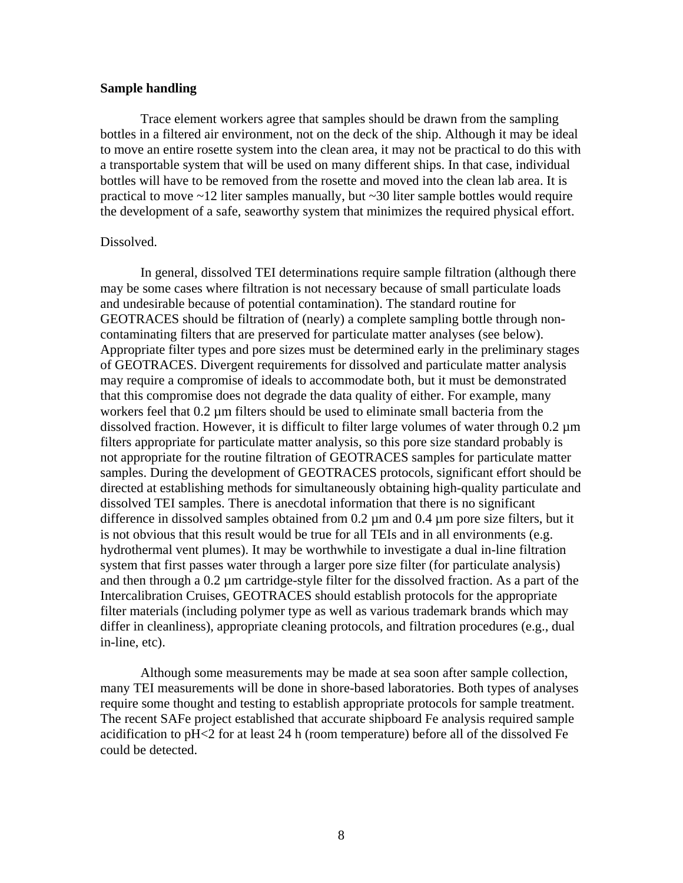## **Sample handling**

Trace element workers agree that samples should be drawn from the sampling bottles in a filtered air environment, not on the deck of the ship. Although it may be ideal to move an entire rosette system into the clean area, it may not be practical to do this with a transportable system that will be used on many different ships. In that case, individual bottles will have to be removed from the rosette and moved into the clean lab area. It is practical to move  $\sim$  12 liter samples manually, but  $\sim$  30 liter sample bottles would require the development of a safe, seaworthy system that minimizes the required physical effort.

### Dissolved.

In general, dissolved TEI determinations require sample filtration (although there may be some cases where filtration is not necessary because of small particulate loads and undesirable because of potential contamination). The standard routine for GEOTRACES should be filtration of (nearly) a complete sampling bottle through noncontaminating filters that are preserved for particulate matter analyses (see below). Appropriate filter types and pore sizes must be determined early in the preliminary stages of GEOTRACES. Divergent requirements for dissolved and particulate matter analysis may require a compromise of ideals to accommodate both, but it must be demonstrated that this compromise does not degrade the data quality of either. For example, many workers feel that  $0.2 \mu$ m filters should be used to eliminate small bacteria from the dissolved fraction. However, it is difficult to filter large volumes of water through  $0.2 \mu m$ filters appropriate for particulate matter analysis, so this pore size standard probably is not appropriate for the routine filtration of GEOTRACES samples for particulate matter samples. During the development of GEOTRACES protocols, significant effort should be directed at establishing methods for simultaneously obtaining high-quality particulate and dissolved TEI samples. There is anecdotal information that there is no significant difference in dissolved samples obtained from 0.2 µm and 0.4 µm pore size filters, but it is not obvious that this result would be true for all TEIs and in all environments (e.g. hydrothermal vent plumes). It may be worthwhile to investigate a dual in-line filtration system that first passes water through a larger pore size filter (for particulate analysis) and then through a 0.2 µm cartridge-style filter for the dissolved fraction. As a part of the Intercalibration Cruises, GEOTRACES should establish protocols for the appropriate filter materials (including polymer type as well as various trademark brands which may differ in cleanliness), appropriate cleaning protocols, and filtration procedures (e.g., dual in-line, etc).

Although some measurements may be made at sea soon after sample collection, many TEI measurements will be done in shore-based laboratories. Both types of analyses require some thought and testing to establish appropriate protocols for sample treatment. The recent SAFe project established that accurate shipboard Fe analysis required sample acidification to pH<2 for at least 24 h (room temperature) before all of the dissolved Fe could be detected.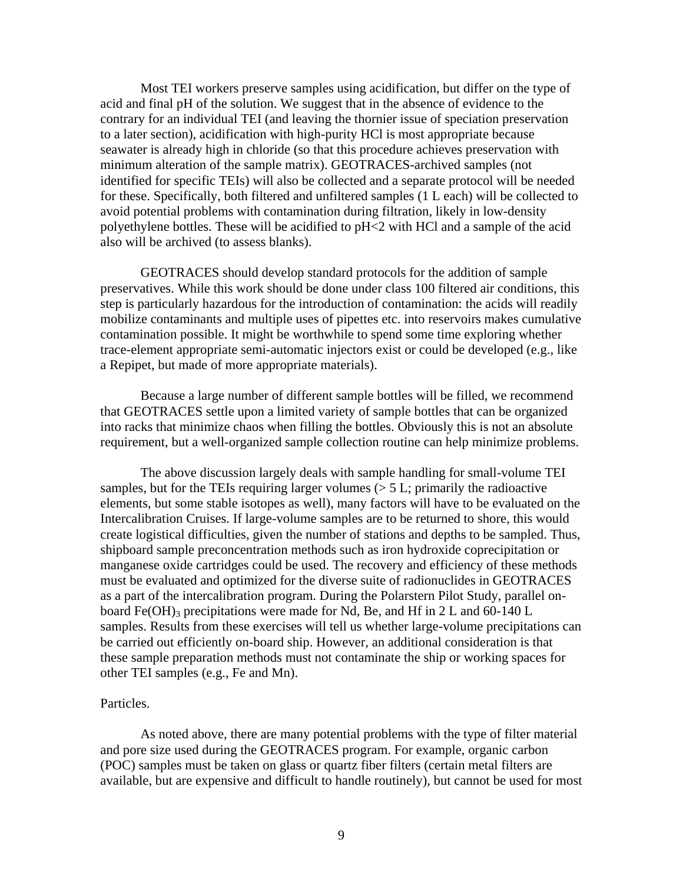Most TEI workers preserve samples using acidification, but differ on the type of acid and final pH of the solution. We suggest that in the absence of evidence to the contrary for an individual TEI (and leaving the thornier issue of speciation preservation to a later section), acidification with high-purity HCl is most appropriate because seawater is already high in chloride (so that this procedure achieves preservation with minimum alteration of the sample matrix). GEOTRACES-archived samples (not identified for specific TEIs) will also be collected and a separate protocol will be needed for these. Specifically, both filtered and unfiltered samples (1 L each) will be collected to avoid potential problems with contamination during filtration, likely in low-density polyethylene bottles. These will be acidified to pH<2 with HCl and a sample of the acid also will be archived (to assess blanks).

GEOTRACES should develop standard protocols for the addition of sample preservatives. While this work should be done under class 100 filtered air conditions, this step is particularly hazardous for the introduction of contamination: the acids will readily mobilize contaminants and multiple uses of pipettes etc. into reservoirs makes cumulative contamination possible. It might be worthwhile to spend some time exploring whether trace-element appropriate semi-automatic injectors exist or could be developed (e.g., like a Repipet, but made of more appropriate materials).

Because a large number of different sample bottles will be filled, we recommend that GEOTRACES settle upon a limited variety of sample bottles that can be organized into racks that minimize chaos when filling the bottles. Obviously this is not an absolute requirement, but a well-organized sample collection routine can help minimize problems.

The above discussion largely deals with sample handling for small-volume TEI samples, but for the TEIs requiring larger volumes  $(> 5 L;$  primarily the radioactive elements, but some stable isotopes as well), many factors will have to be evaluated on the Intercalibration Cruises. If large-volume samples are to be returned to shore, this would create logistical difficulties, given the number of stations and depths to be sampled. Thus, shipboard sample preconcentration methods such as iron hydroxide coprecipitation or manganese oxide cartridges could be used. The recovery and efficiency of these methods must be evaluated and optimized for the diverse suite of radionuclides in GEOTRACES as a part of the intercalibration program. During the Polarstern Pilot Study, parallel onboard Fe(OH)<sub>3</sub> precipitations were made for Nd, Be, and Hf in 2 L and 60-140 L samples. Results from these exercises will tell us whether large-volume precipitations can be carried out efficiently on-board ship. However, an additional consideration is that these sample preparation methods must not contaminate the ship or working spaces for other TEI samples (e.g., Fe and Mn).

### Particles.

As noted above, there are many potential problems with the type of filter material and pore size used during the GEOTRACES program. For example, organic carbon (POC) samples must be taken on glass or quartz fiber filters (certain metal filters are available, but are expensive and difficult to handle routinely), but cannot be used for most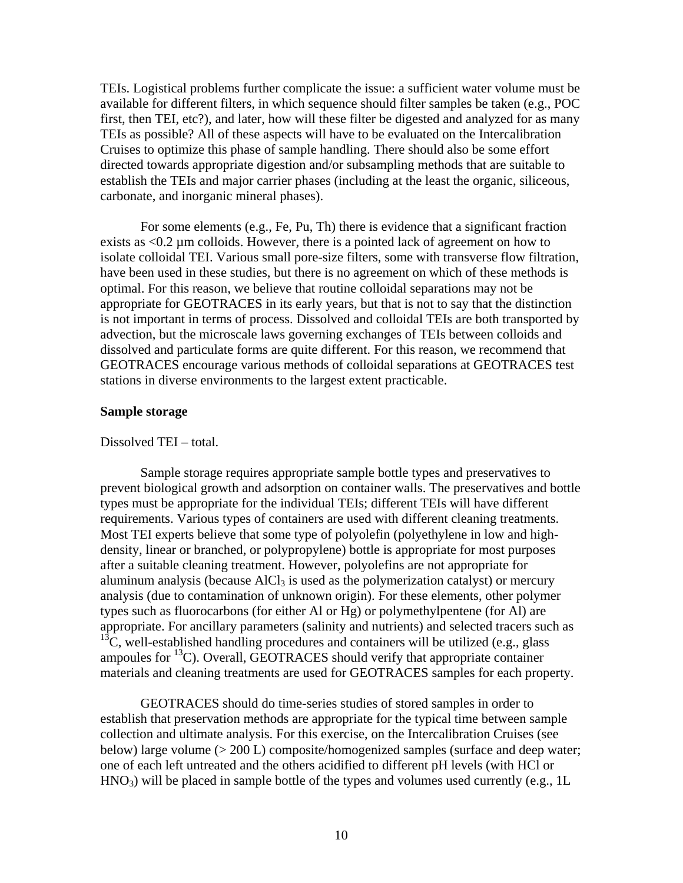TEIs. Logistical problems further complicate the issue: a sufficient water volume must be available for different filters, in which sequence should filter samples be taken (e.g., POC first, then TEI, etc?), and later, how will these filter be digested and analyzed for as many TEIs as possible? All of these aspects will have to be evaluated on the Intercalibration Cruises to optimize this phase of sample handling. There should also be some effort directed towards appropriate digestion and/or subsampling methods that are suitable to establish the TEIs and major carrier phases (including at the least the organic, siliceous, carbonate, and inorganic mineral phases).

For some elements (e.g., Fe, Pu, Th) there is evidence that a significant fraction exists as <0.2 µm colloids. However, there is a pointed lack of agreement on how to isolate colloidal TEI. Various small pore-size filters, some with transverse flow filtration, have been used in these studies, but there is no agreement on which of these methods is optimal. For this reason, we believe that routine colloidal separations may not be appropriate for GEOTRACES in its early years, but that is not to say that the distinction is not important in terms of process. Dissolved and colloidal TEIs are both transported by advection, but the microscale laws governing exchanges of TEIs between colloids and dissolved and particulate forms are quite different. For this reason, we recommend that GEOTRACES encourage various methods of colloidal separations at GEOTRACES test stations in diverse environments to the largest extent practicable.

### **Sample storage**

### Dissolved TEI – total.

Sample storage requires appropriate sample bottle types and preservatives to prevent biological growth and adsorption on container walls. The preservatives and bottle types must be appropriate for the individual TEIs; different TEIs will have different requirements. Various types of containers are used with different cleaning treatments. Most TEI experts believe that some type of polyolefin (polyethylene in low and highdensity, linear or branched, or polypropylene) bottle is appropriate for most purposes after a suitable cleaning treatment. However, polyolefins are not appropriate for aluminum analysis (because  $AICI<sub>3</sub>$  is used as the polymerization catalyst) or mercury analysis (due to contamination of unknown origin). For these elements, other polymer types such as fluorocarbons (for either Al or Hg) or polymethylpentene (for Al) are appropriate. For ancillary parameters (salinity and nutrients) and selected tracers such as  $^{13}$ C, well-established handling procedures and containers will be utilized (e.g., glass ampoules for  ${}^{13}$ C). Overall, GEOTRACES should verify that appropriate container materials and cleaning treatments are used for GEOTRACES samples for each property.

GEOTRACES should do time-series studies of stored samples in order to establish that preservation methods are appropriate for the typical time between sample collection and ultimate analysis. For this exercise, on the Intercalibration Cruises (see below) large volume (> 200 L) composite/homogenized samples (surface and deep water; one of each left untreated and the others acidified to different pH levels (with HCl or  $HNO<sub>3</sub>$ ) will be placed in sample bottle of the types and volumes used currently (e.g., 1L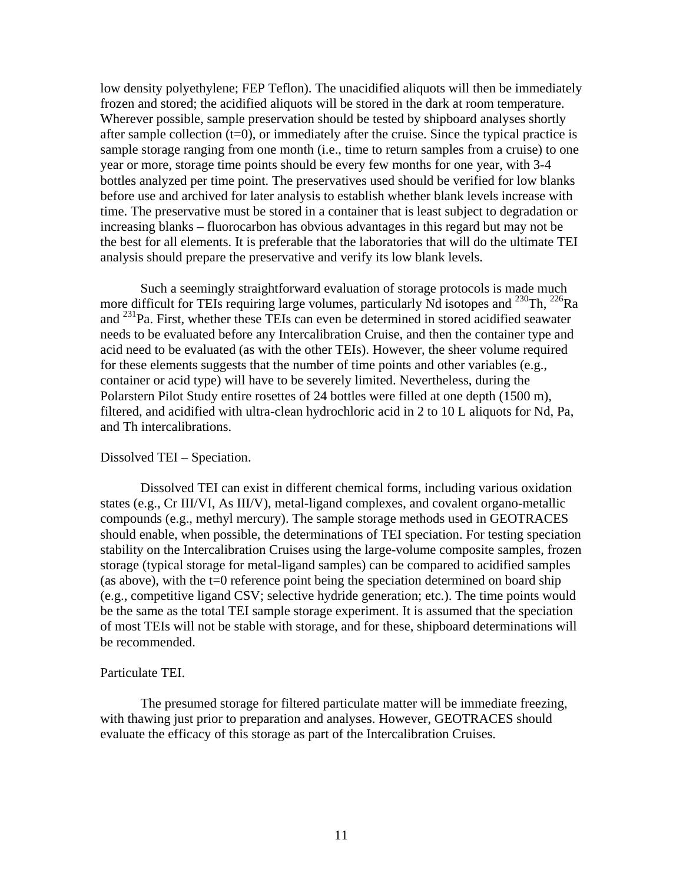low density polyethylene; FEP Teflon). The unacidified aliquots will then be immediately frozen and stored; the acidified aliquots will be stored in the dark at room temperature. Wherever possible, sample preservation should be tested by shipboard analyses shortly after sample collection  $(t=0)$ , or immediately after the cruise. Since the typical practice is sample storage ranging from one month (i.e., time to return samples from a cruise) to one year or more, storage time points should be every few months for one year, with 3-4 bottles analyzed per time point. The preservatives used should be verified for low blanks before use and archived for later analysis to establish whether blank levels increase with time. The preservative must be stored in a container that is least subject to degradation or increasing blanks – fluorocarbon has obvious advantages in this regard but may not be the best for all elements. It is preferable that the laboratories that will do the ultimate TEI analysis should prepare the preservative and verify its low blank levels.

Such a seemingly straightforward evaluation of storage protocols is made much more difficult for TEIs requiring large volumes, particularly Nd isotopes and  $^{230}$ Th,  $^{226}$ Ra and <sup>231</sup>Pa. First, whether these TEIs can even be determined in stored acidified seawater needs to be evaluated before any Intercalibration Cruise, and then the container type and acid need to be evaluated (as with the other TEIs). However, the sheer volume required for these elements suggests that the number of time points and other variables (e.g., container or acid type) will have to be severely limited. Nevertheless, during the Polarstern Pilot Study entire rosettes of 24 bottles were filled at one depth (1500 m), filtered, and acidified with ultra-clean hydrochloric acid in 2 to 10 L aliquots for Nd, Pa, and Th intercalibrations.

## Dissolved TEI – Speciation.

 Dissolved TEI can exist in different chemical forms, including various oxidation states (e.g., Cr III/VI, As III/V), metal-ligand complexes, and covalent organo-metallic compounds (e.g., methyl mercury). The sample storage methods used in GEOTRACES should enable, when possible, the determinations of TEI speciation. For testing speciation stability on the Intercalibration Cruises using the large-volume composite samples, frozen storage (typical storage for metal-ligand samples) can be compared to acidified samples (as above), with the  $t=0$  reference point being the speciation determined on board ship (e.g., competitive ligand CSV; selective hydride generation; etc.). The time points would be the same as the total TEI sample storage experiment. It is assumed that the speciation of most TEIs will not be stable with storage, and for these, shipboard determinations will be recommended.

#### Particulate TEI.

 The presumed storage for filtered particulate matter will be immediate freezing, with thawing just prior to preparation and analyses. However, GEOTRACES should evaluate the efficacy of this storage as part of the Intercalibration Cruises.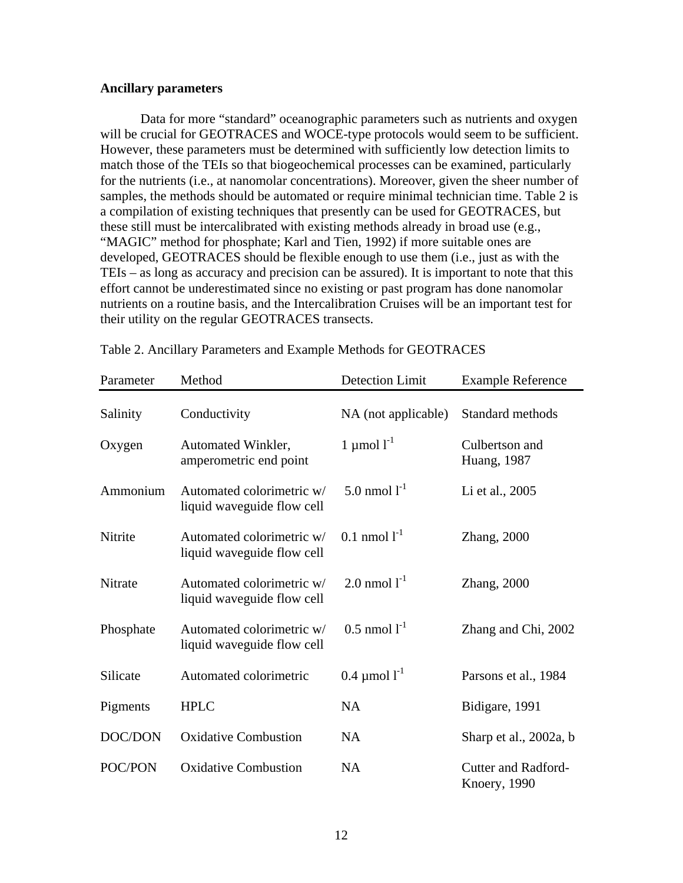## **Ancillary parameters**

 Data for more "standard" oceanographic parameters such as nutrients and oxygen will be crucial for GEOTRACES and WOCE-type protocols would seem to be sufficient. However, these parameters must be determined with sufficiently low detection limits to match those of the TEIs so that biogeochemical processes can be examined, particularly for the nutrients (i.e., at nanomolar concentrations). Moreover, given the sheer number of samples, the methods should be automated or require minimal technician time. Table 2 is a compilation of existing techniques that presently can be used for GEOTRACES, but these still must be intercalibrated with existing methods already in broad use (e.g., "MAGIC" method for phosphate; Karl and Tien, 1992) if more suitable ones are developed, GEOTRACES should be flexible enough to use them (i.e., just as with the TEIs – as long as accuracy and precision can be assured). It is important to note that this effort cannot be underestimated since no existing or past program has done nanomolar nutrients on a routine basis, and the Intercalibration Cruises will be an important test for their utility on the regular GEOTRACES transects.

| Parameter | Method                                                  | <b>Detection Limit</b>     | <b>Example Reference</b>                           |
|-----------|---------------------------------------------------------|----------------------------|----------------------------------------------------|
| Salinity  | Conductivity                                            | NA (not applicable)        | Standard methods                                   |
| Oxygen    | Automated Winkler,<br>amperometric end point            | 1 µmol $l^{-1}$            | Culbertson and<br><b>Huang</b> , 1987              |
| Ammonium  | Automated colorimetric w/<br>liquid waveguide flow cell | 5.0 nmol $1^{-1}$          | Li et al., 2005                                    |
| Nitrite   | Automated colorimetric w/<br>liquid waveguide flow cell | $0.1 \text{ nmol } 1^{-1}$ | Zhang, 2000                                        |
| Nitrate   | Automated colorimetric w/<br>liquid waveguide flow cell | 2.0 nmol $1^{-1}$          | Zhang, 2000                                        |
| Phosphate | Automated colorimetric w/<br>liquid waveguide flow cell | $0.5$ nmol $1^{-1}$        | Zhang and Chi, 2002                                |
| Silicate  | Automated colorimetric                                  | $0.4 \mu$ mol $l^{-1}$     | Parsons et al., 1984                               |
| Pigments  | <b>HPLC</b>                                             | <b>NA</b>                  | Bidigare, 1991                                     |
| DOC/DON   | <b>Oxidative Combustion</b>                             | <b>NA</b>                  | Sharp et al., 2002a, b                             |
| POC/PON   | <b>Oxidative Combustion</b>                             | <b>NA</b>                  | <b>Cutter and Radford-</b><br><b>Knoery</b> , 1990 |

Table 2. Ancillary Parameters and Example Methods for GEOTRACES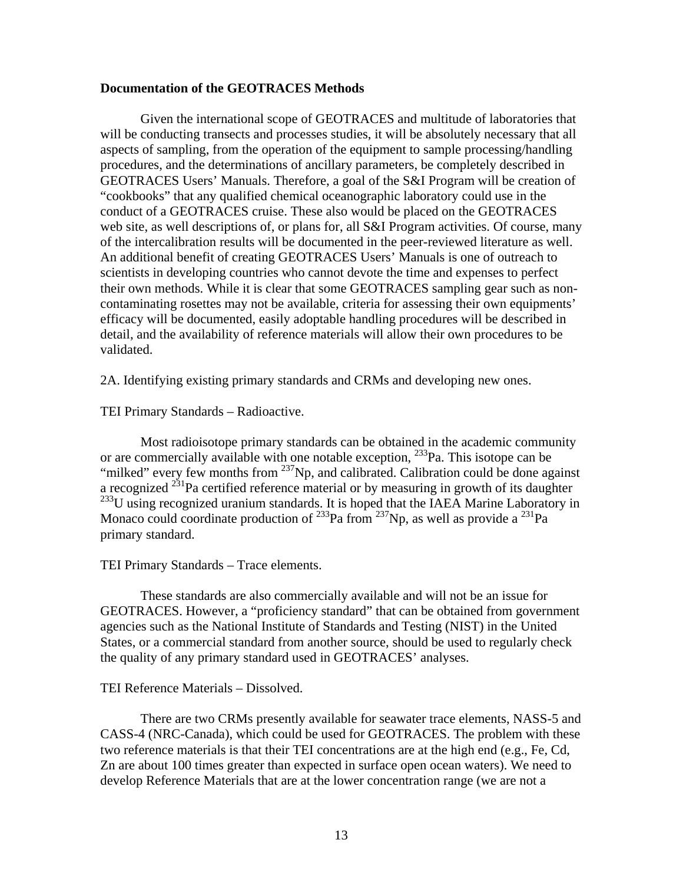### **Documentation of the GEOTRACES Methods**

 Given the international scope of GEOTRACES and multitude of laboratories that will be conducting transects and processes studies, it will be absolutely necessary that all aspects of sampling, from the operation of the equipment to sample processing/handling procedures, and the determinations of ancillary parameters, be completely described in GEOTRACES Users' Manuals. Therefore, a goal of the S&I Program will be creation of "cookbooks" that any qualified chemical oceanographic laboratory could use in the conduct of a GEOTRACES cruise. These also would be placed on the GEOTRACES web site, as well descriptions of, or plans for, all S&I Program activities. Of course, many of the intercalibration results will be documented in the peer-reviewed literature as well. An additional benefit of creating GEOTRACES Users' Manuals is one of outreach to scientists in developing countries who cannot devote the time and expenses to perfect their own methods. While it is clear that some GEOTRACES sampling gear such as noncontaminating rosettes may not be available, criteria for assessing their own equipments' efficacy will be documented, easily adoptable handling procedures will be described in detail, and the availability of reference materials will allow their own procedures to be validated.

2A. Identifying existing primary standards and CRMs and developing new ones.

TEI Primary Standards – Radioactive.

Most radioisotope primary standards can be obtained in the academic community or are commercially available with one notable exception, <sup>233</sup>Pa. This isotope can be "milked" every few months from  $^{237}$ Np, and calibrated. Calibration could be done against a recognized 231Pa certified reference material or by measuring in growth of its daughter  $^{233}$ U using recognized uranium standards. It is hoped that the IAEA Marine Laboratory in Monaco could coordinate production of  $^{233}$ Pa from  $^{237}$ Np, as well as provide a  $^{231}$ Pa primary standard.

## TEI Primary Standards – Trace elements.

These standards are also commercially available and will not be an issue for GEOTRACES. However, a "proficiency standard" that can be obtained from government agencies such as the National Institute of Standards and Testing (NIST) in the United States, or a commercial standard from another source, should be used to regularly check the quality of any primary standard used in GEOTRACES' analyses.

## TEI Reference Materials – Dissolved.

There are two CRMs presently available for seawater trace elements, NASS-5 and CASS-4 (NRC-Canada), which could be used for GEOTRACES. The problem with these two reference materials is that their TEI concentrations are at the high end (e.g., Fe, Cd, Zn are about 100 times greater than expected in surface open ocean waters). We need to develop Reference Materials that are at the lower concentration range (we are not a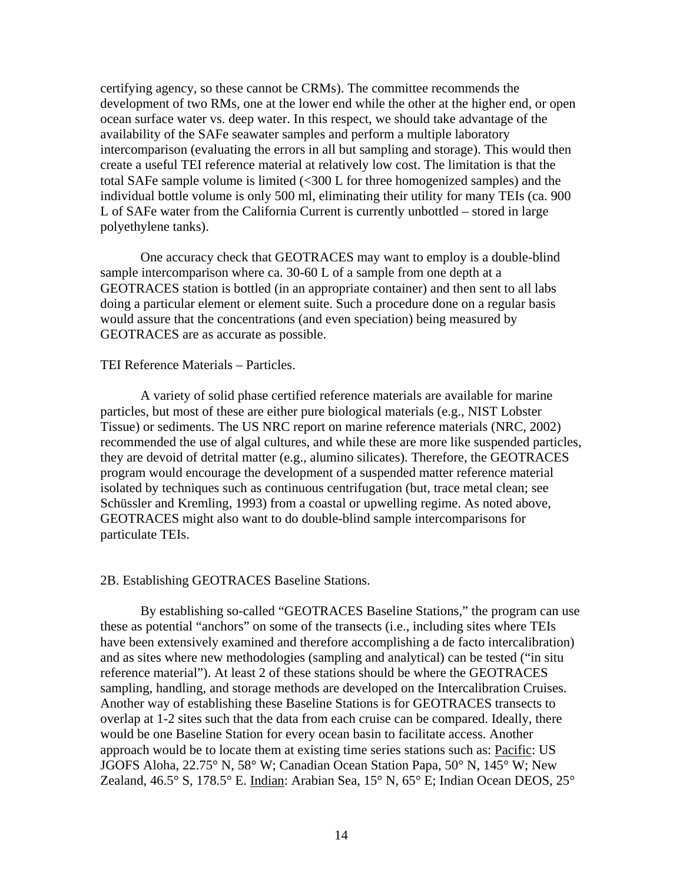certifying agency, so these cannot be CRMs). The committee recommends the development of two RMs, one at the lower end while the other at the higher end, or open ocean surface water vs. deep water. In this respect, we should take advantage of the availability of the SAFe seawater samples and perform a multiple laboratory intercomparison (evaluating the errors in all but sampling and storage). This would then create a useful TEI reference material at relatively low cost. The limitation is that the total SAFe sample volume is limited (<300 L for three homogenized samples) and the individual bottle volume is only 500 ml, eliminating their utility for many TEIs (ca. 900 L of SAFe water from the California Current is currently unbottled – stored in large polyethylene tanks).

One accuracy check that GEOTRACES may want to employ is a double-blind sample intercomparison where ca. 30-60 L of a sample from one depth at a GEOTRACES station is bottled (in an appropriate container) and then sent to all labs doing a particular element or element suite. Such a procedure done on a regular basis would assure that the concentrations (and even speciation) being measured by GEOTRACES are as accurate as possible.

### TEI Reference Materials – Particles.

A variety of solid phase certified reference materials are available for marine particles, but most of these are either pure biological materials (e.g., NIST Lobster Tissue) or sediments. The US NRC report on marine reference materials (NRC, 2002) recommended the use of algal cultures, and while these are more like suspended particles, they are devoid of detrital matter (e.g., alumino silicates). Therefore, the GEOTRACES program would encourage the development of a suspended matter reference material isolated by techniques such as continuous centrifugation (but, trace metal clean; see Schüssler and Kremling, 1993) from a coastal or upwelling regime. As noted above, GEOTRACES might also want to do double-blind sample intercomparisons for particulate TEIs.

#### 2B. Establishing GEOTRACES Baseline Stations.

By establishing so-called "GEOTRACES Baseline Stations," the program can use these as potential "anchors" on some of the transects (i.e., including sites where TEIs have been extensively examined and therefore accomplishing a de facto intercalibration) and as sites where new methodologies (sampling and analytical) can be tested ("in situ reference material"). At least 2 of these stations should be where the GEOTRACES sampling, handling, and storage methods are developed on the Intercalibration Cruises. Another way of establishing these Baseline Stations is for GEOTRACES transects to overlap at 1-2 sites such that the data from each cruise can be compared. Ideally, there would be one Baseline Station for every ocean basin to facilitate access. Another approach would be to locate them at existing time series stations such as: Pacific: US JGOFS Aloha, 22.75° N, 58° W; Canadian Ocean Station Papa, 50° N, 145° W; New Zealand, 46.5° S, 178.5° E. Indian: Arabian Sea, 15° N, 65° E; Indian Ocean DEOS, 25°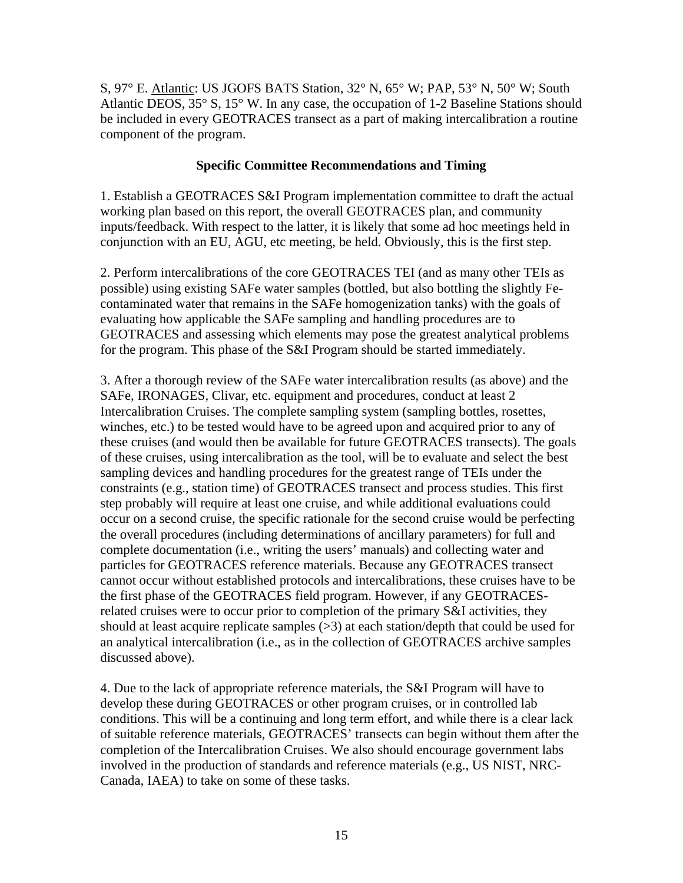S, 97° E. Atlantic: US JGOFS BATS Station, 32° N, 65° W; PAP, 53° N, 50° W; South Atlantic DEOS, 35° S, 15° W. In any case, the occupation of 1-2 Baseline Stations should be included in every GEOTRACES transect as a part of making intercalibration a routine component of the program.

# **Specific Committee Recommendations and Timing**

1. Establish a GEOTRACES S&I Program implementation committee to draft the actual working plan based on this report, the overall GEOTRACES plan, and community inputs/feedback. With respect to the latter, it is likely that some ad hoc meetings held in conjunction with an EU, AGU, etc meeting, be held. Obviously, this is the first step.

2. Perform intercalibrations of the core GEOTRACES TEI (and as many other TEIs as possible) using existing SAFe water samples (bottled, but also bottling the slightly Fecontaminated water that remains in the SAFe homogenization tanks) with the goals of evaluating how applicable the SAFe sampling and handling procedures are to GEOTRACES and assessing which elements may pose the greatest analytical problems for the program. This phase of the S&I Program should be started immediately.

3. After a thorough review of the SAFe water intercalibration results (as above) and the SAFe, IRONAGES, Clivar, etc. equipment and procedures, conduct at least 2 Intercalibration Cruises. The complete sampling system (sampling bottles, rosettes, winches, etc.) to be tested would have to be agreed upon and acquired prior to any of these cruises (and would then be available for future GEOTRACES transects). The goals of these cruises, using intercalibration as the tool, will be to evaluate and select the best sampling devices and handling procedures for the greatest range of TEIs under the constraints (e.g., station time) of GEOTRACES transect and process studies. This first step probably will require at least one cruise, and while additional evaluations could occur on a second cruise, the specific rationale for the second cruise would be perfecting the overall procedures (including determinations of ancillary parameters) for full and complete documentation (i.e., writing the users' manuals) and collecting water and particles for GEOTRACES reference materials. Because any GEOTRACES transect cannot occur without established protocols and intercalibrations, these cruises have to be the first phase of the GEOTRACES field program. However, if any GEOTRACESrelated cruises were to occur prior to completion of the primary S&I activities, they should at least acquire replicate samples (>3) at each station/depth that could be used for an analytical intercalibration (i.e., as in the collection of GEOTRACES archive samples discussed above).

4. Due to the lack of appropriate reference materials, the S&I Program will have to develop these during GEOTRACES or other program cruises, or in controlled lab conditions. This will be a continuing and long term effort, and while there is a clear lack of suitable reference materials, GEOTRACES' transects can begin without them after the completion of the Intercalibration Cruises. We also should encourage government labs involved in the production of standards and reference materials (e.g., US NIST, NRC-Canada, IAEA) to take on some of these tasks.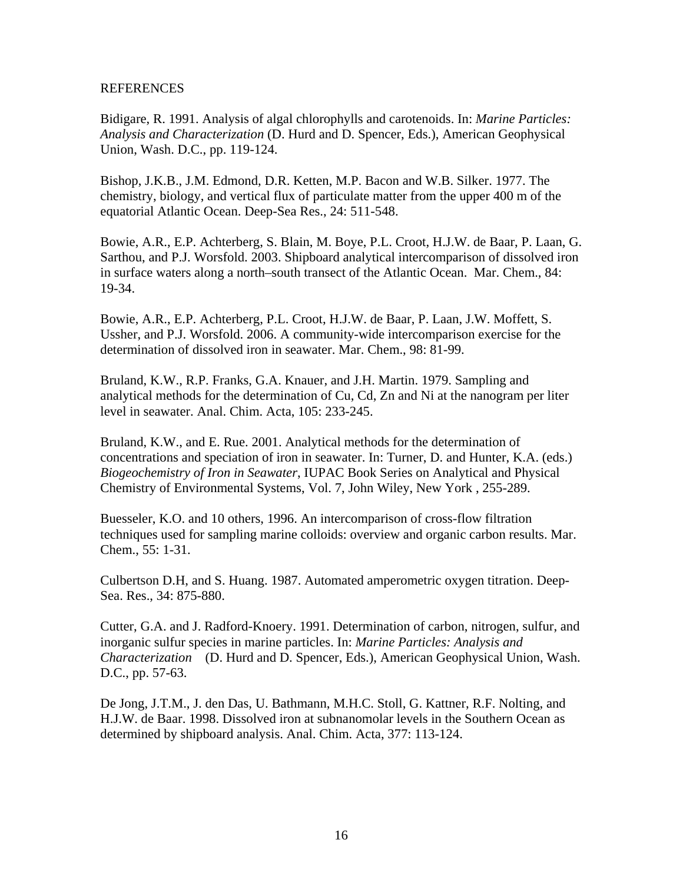## REFERENCES

Bidigare, R. 1991. Analysis of algal chlorophylls and carotenoids. In: *Marine Particles: Analysis and Characterization* (D. Hurd and D. Spencer, Eds.), American Geophysical Union, Wash. D.C., pp. 119-124.

Bishop, J.K.B., J.M. Edmond, D.R. Ketten, M.P. Bacon and W.B. Silker. 1977. The chemistry, biology, and vertical flux of particulate matter from the upper 400 m of the equatorial Atlantic Ocean. Deep-Sea Res., 24: 511-548.

Bowie, A.R., E.P. Achterberg, S. Blain, M. Boye, P.L. Croot, H.J.W. de Baar, P. Laan, G. Sarthou, and P.J. Worsfold. 2003. Shipboard analytical intercomparison of dissolved iron in surface waters along a north–south transect of the Atlantic Ocean. Mar. Chem., 84: 19-34.

Bowie, A.R., E.P. Achterberg, P.L. Croot, H.J.W. de Baar, P. Laan, J.W. Moffett, S. Ussher, and P.J. Worsfold. 2006. A community-wide intercomparison exercise for the determination of dissolved iron in seawater. Mar. Chem., 98: 81-99.

Bruland, K.W., R.P. Franks, G.A. Knauer, and J.H. Martin. 1979. Sampling and analytical methods for the determination of Cu, Cd, Zn and Ni at the nanogram per liter level in seawater. Anal. Chim. Acta, 105: 233-245.

Bruland, K.W., and E. Rue. 2001. Analytical methods for the determination of concentrations and speciation of iron in seawater. In: Turner, D. and Hunter, K.A. (eds.) *Biogeochemistry of Iron in Seawater*, IUPAC Book Series on Analytical and Physical Chemistry of Environmental Systems, Vol. 7, John Wiley, New York , 255-289.

Buesseler, K.O. and 10 others, 1996. An intercomparison of cross-flow filtration techniques used for sampling marine colloids: overview and organic carbon results. Mar. Chem., 55: 1-31.

Culbertson D.H, and S. Huang. 1987. Automated amperometric oxygen titration. Deep-Sea. Res., 34: 875-880.

Cutter, G.A. and J. Radford-Knoery. 1991. Determination of carbon, nitrogen, sulfur, and inorganic sulfur species in marine particles. In: *Marine Particles: Analysis and Characterization* (D. Hurd and D. Spencer, Eds.), American Geophysical Union, Wash. D.C., pp. 57-63.

De Jong, J.T.M., J. den Das, U. Bathmann, M.H.C. Stoll, G. Kattner, R.F. Nolting, and H.J.W. de Baar. 1998. Dissolved iron at subnanomolar levels in the Southern Ocean as determined by shipboard analysis. Anal. Chim. Acta, 377: 113-124.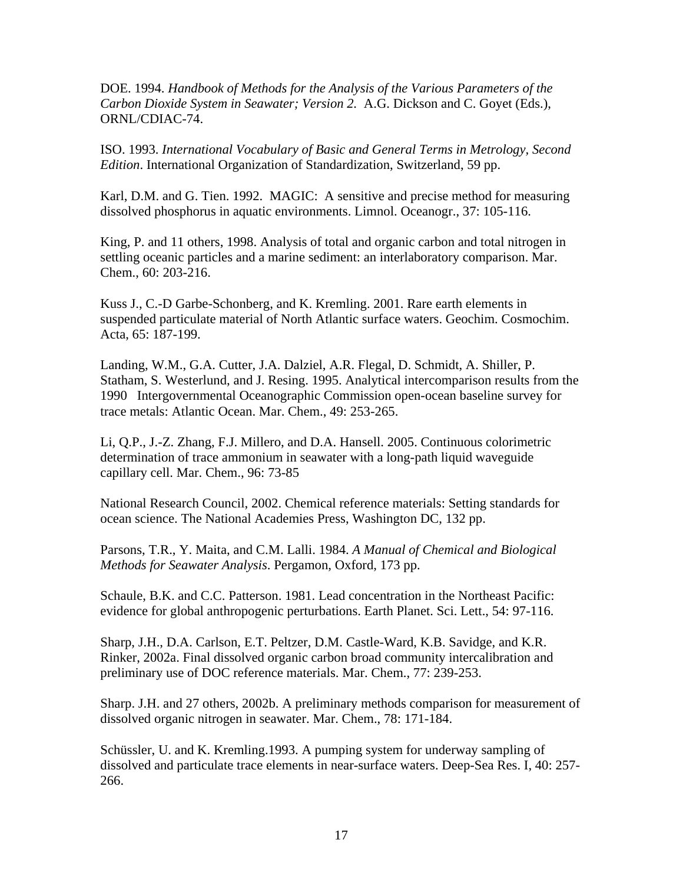DOE. 1994. *Handbook of Methods for the Analysis of the Various Parameters of the Carbon Dioxide System in Seawater; Version 2.* A.G. Dickson and C. Goyet (Eds.), ORNL/CDIAC-74.

ISO. 1993. *International Vocabulary of Basic and General Terms in Metrology, Second Edition*. International Organization of Standardization, Switzerland, 59 pp.

Karl, D.M. and G. Tien. 1992. MAGIC: A sensitive and precise method for measuring dissolved phosphorus in aquatic environments. Limnol. Oceanogr., 37: 105-116.

King, P. and 11 others, 1998. Analysis of total and organic carbon and total nitrogen in settling oceanic particles and a marine sediment: an interlaboratory comparison. Mar. Chem., 60: 203-216.

Kuss J., C.-D Garbe-Schonberg, and K. Kremling. 2001. Rare earth elements in suspended particulate material of North Atlantic surface waters. Geochim. Cosmochim. Acta, 65: 187-199.

Landing, W.M., G.A. Cutter, J.A. Dalziel, A.R. Flegal, D. Schmidt, A. Shiller, P. Statham, S. Westerlund, and J. Resing. 1995. Analytical intercomparison results from the 1990 Intergovernmental Oceanographic Commission open-ocean baseline survey for trace metals: Atlantic Ocean. Mar. Chem., 49: 253-265.

Li, Q.P., J.-Z. Zhang, F.J. Millero, and D.A. Hansell. 2005. Continuous colorimetric determination of trace ammonium in seawater with a long-path liquid waveguide capillary cell. Mar. Chem., 96: 73-85

National Research Council, 2002. Chemical reference materials: Setting standards for ocean science. The National Academies Press, Washington DC, 132 pp.

Parsons, T.R., Y. Maita, and C.M. Lalli. 1984. *A Manual of Chemical and Biological Methods for Seawater Analysis*. Pergamon, Oxford, 173 pp.

Schaule, B.K. and C.C. Patterson. 1981. Lead concentration in the Northeast Pacific: evidence for global anthropogenic perturbations. Earth Planet. Sci. Lett., 54: 97-116.

Sharp, J.H., D.A. Carlson, E.T. Peltzer, D.M. Castle-Ward, K.B. Savidge, and K.R. Rinker, 2002a. Final dissolved organic carbon broad community intercalibration and preliminary use of DOC reference materials. Mar. Chem., 77: 239-253.

Sharp. J.H. and 27 others, 2002b. A preliminary methods comparison for measurement of dissolved organic nitrogen in seawater. Mar. Chem., 78: 171-184.

Schüssler, U. and K. Kremling.1993. A pumping system for underway sampling of dissolved and particulate trace elements in near-surface waters. Deep-Sea Res. I, 40: 257- 266.